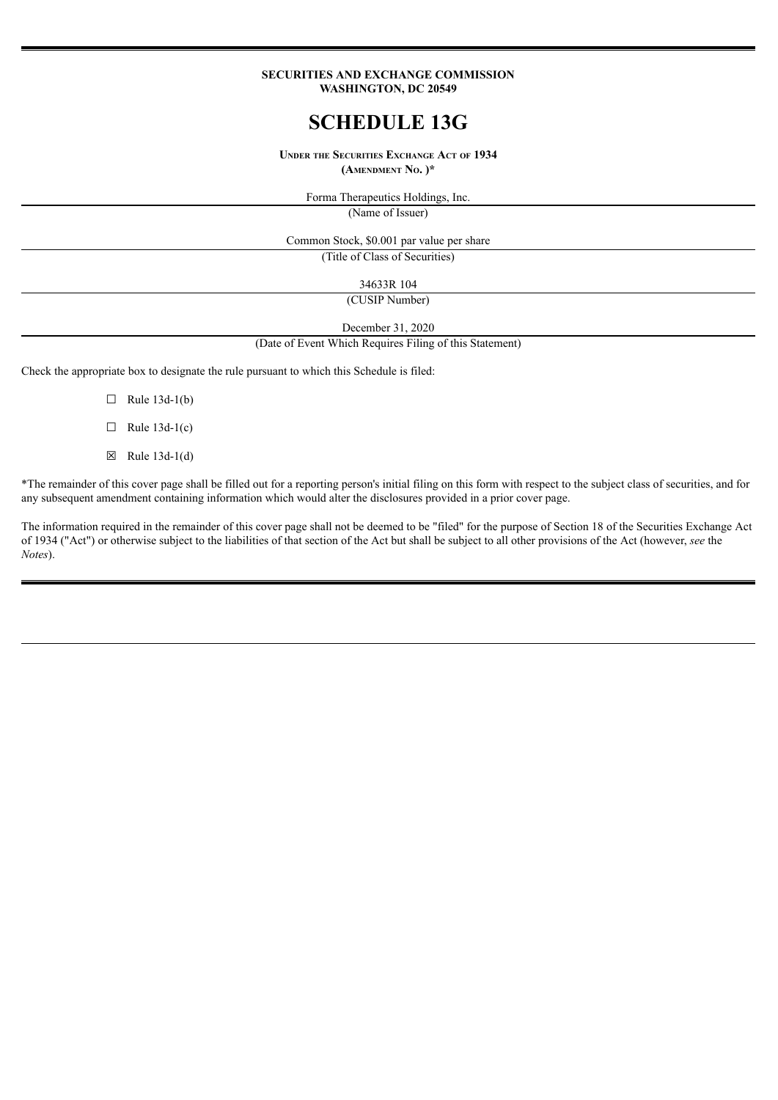#### **SECURITIES AND EXCHANGE COMMISSION WASHINGTON, DC 20549**

# **SCHEDULE 13G**

**UNDER THE SECURITIES EXCHANGE ACT OF 1934 (AMENDMENT NO. )\***

> Forma Therapeutics Holdings, Inc. (Name of Issuer)

Common Stock, \$0.001 par value per share

(Title of Class of Securities)

34633R 104

(CUSIP Number)

December 31, 2020

(Date of Event Which Requires Filing of this Statement)

Check the appropriate box to designate the rule pursuant to which this Schedule is filed:

- $\Box$  Rule 13d-1(b)
- $\Box$  Rule 13d-1(c)
- ☒ Rule 13d-1(d)

\*The remainder of this cover page shall be filled out for a reporting person's initial filing on this form with respect to the subject class of securities, and for any subsequent amendment containing information which would alter the disclosures provided in a prior cover page.

The information required in the remainder of this cover page shall not be deemed to be "filed" for the purpose of Section 18 of the Securities Exchange Act of 1934 ("Act") or otherwise subject to the liabilities of that section of the Act but shall be subject to all other provisions of the Act (however, *see* the *Notes*).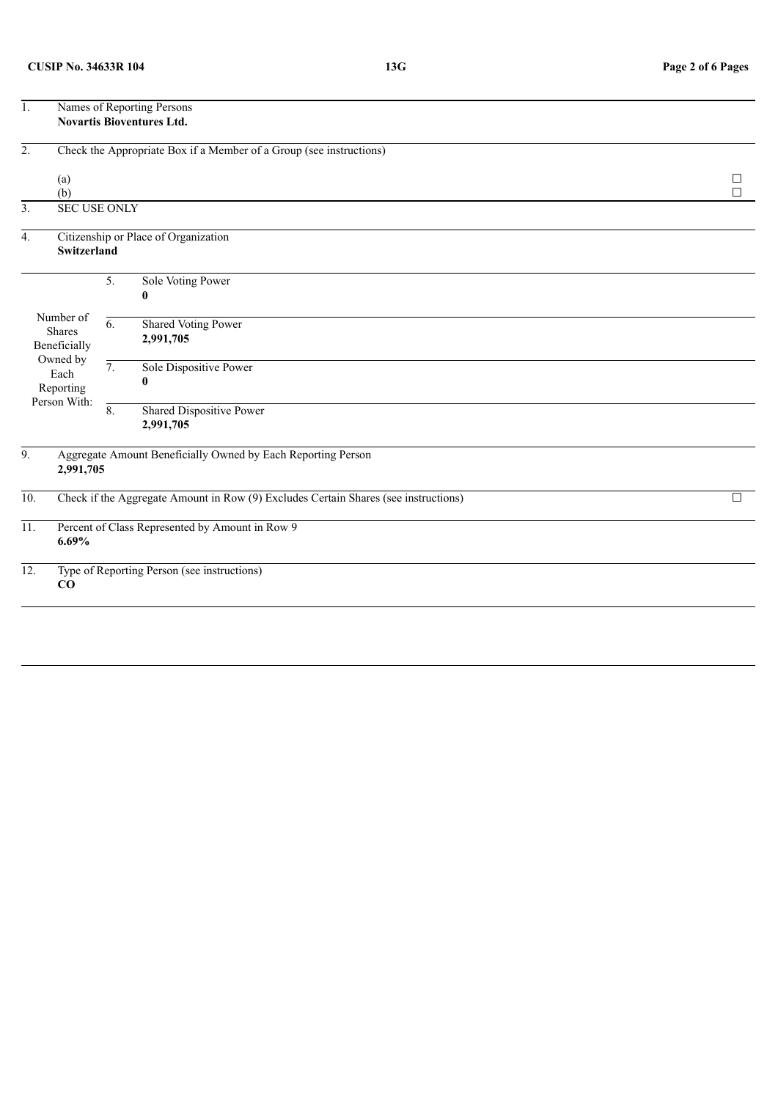| 1.                                                                          | Names of Reporting Persons<br><b>Novartis Bioventures Ltd.</b>                           |                  |                                                                     |             |  |  |
|-----------------------------------------------------------------------------|------------------------------------------------------------------------------------------|------------------|---------------------------------------------------------------------|-------------|--|--|
| $\overline{2}$ .                                                            |                                                                                          |                  | Check the Appropriate Box if a Member of a Group (see instructions) |             |  |  |
|                                                                             | (a)<br>(b)                                                                               |                  |                                                                     | ப<br>$\Box$ |  |  |
| $\overline{3}$ .                                                            | <b>SEC USE ONLY</b>                                                                      |                  |                                                                     |             |  |  |
| 4.                                                                          | Switzerland                                                                              |                  | Citizenship or Place of Organization                                |             |  |  |
|                                                                             |                                                                                          | 5.               | Sole Voting Power<br>0                                              |             |  |  |
| Number of<br><b>Shares</b><br>Beneficially<br>Owned by<br>Each<br>Reporting |                                                                                          | $\overline{6}$ . | Shared Voting Power<br>2,991,705                                    |             |  |  |
|                                                                             |                                                                                          | $\overline{7}$ . | Sole Dispositive Power<br>0                                         |             |  |  |
|                                                                             | Person With:                                                                             | $\overline{8}$ . | Shared Dispositive Power<br>2,991,705                               |             |  |  |
| 9.                                                                          | 2,991,705                                                                                |                  | Aggregate Amount Beneficially Owned by Each Reporting Person        |             |  |  |
| $\overline{10}$ .                                                           | Check if the Aggregate Amount in Row (9) Excludes Certain Shares (see instructions)<br>П |                  |                                                                     |             |  |  |
| 11.                                                                         | 6.69%                                                                                    |                  | Percent of Class Represented by Amount in Row 9                     |             |  |  |
| $\overline{12}$ .<br>Type of Reporting Person (see instructions)<br>CO      |                                                                                          |                  |                                                                     |             |  |  |
|                                                                             |                                                                                          |                  |                                                                     |             |  |  |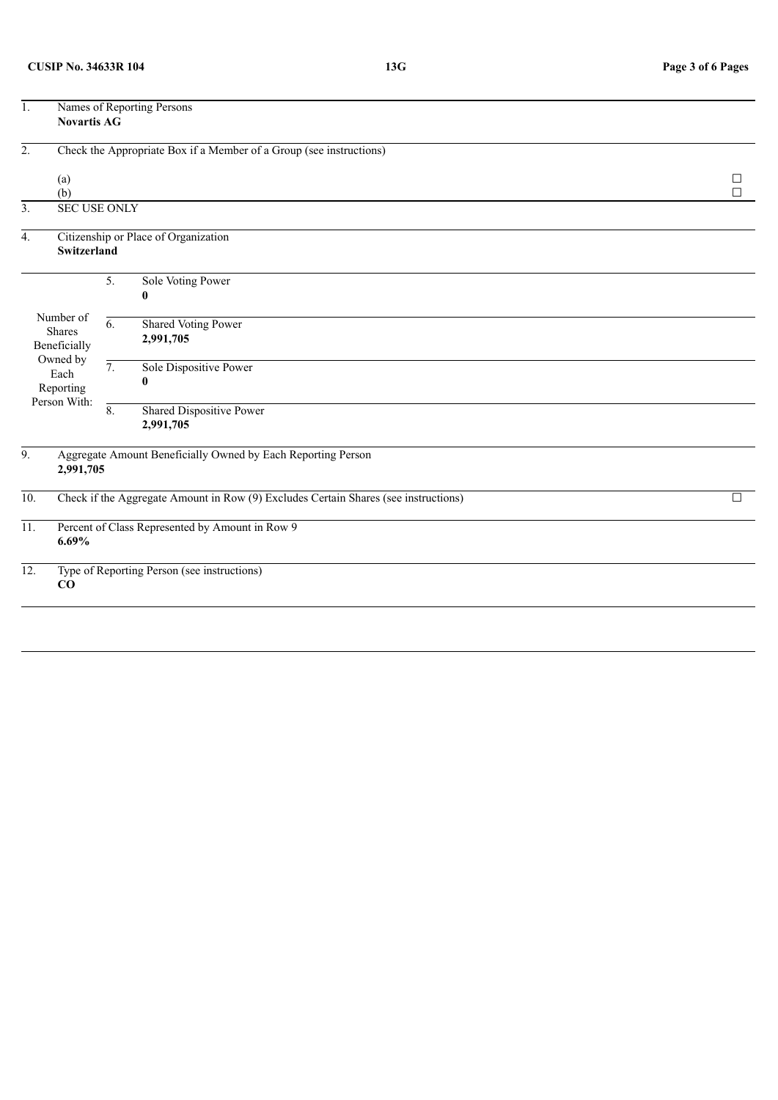| 1.                                                                   | Names of Reporting Persons<br><b>Novartis AG</b>                                         |                  |                                                                     |                  |  |  |
|----------------------------------------------------------------------|------------------------------------------------------------------------------------------|------------------|---------------------------------------------------------------------|------------------|--|--|
| $\overline{2}$ .                                                     |                                                                                          |                  | Check the Appropriate Box if a Member of a Group (see instructions) |                  |  |  |
|                                                                      | (a)<br>(b)                                                                               |                  |                                                                     | $\Box$<br>$\Box$ |  |  |
| 3.                                                                   | <b>SEC USE ONLY</b>                                                                      |                  |                                                                     |                  |  |  |
| $\overline{4}$ .                                                     | <b>Switzerland</b>                                                                       |                  | Citizenship or Place of Organization                                |                  |  |  |
|                                                                      |                                                                                          | 5.               | Sole Voting Power<br>0                                              |                  |  |  |
| Number of<br>Shares<br>Beneficially<br>Owned by<br>Each<br>Reporting |                                                                                          | $\overline{6}$ . | <b>Shared Voting Power</b><br>2,991,705                             |                  |  |  |
|                                                                      |                                                                                          | $\overline{7}$ . | Sole Dispositive Power                                              |                  |  |  |
|                                                                      | Person With:                                                                             | $\overline{8}$ . | <b>Shared Dispositive Power</b><br>2,991,705                        |                  |  |  |
| 9.                                                                   | 2,991,705                                                                                |                  | Aggregate Amount Beneficially Owned by Each Reporting Person        |                  |  |  |
| 10.                                                                  | Check if the Aggregate Amount in Row (9) Excludes Certain Shares (see instructions)<br>П |                  |                                                                     |                  |  |  |
| 11.                                                                  | 6.69%                                                                                    |                  | Percent of Class Represented by Amount in Row 9                     |                  |  |  |
| 12.                                                                  | Type of Reporting Person (see instructions)<br>CO                                        |                  |                                                                     |                  |  |  |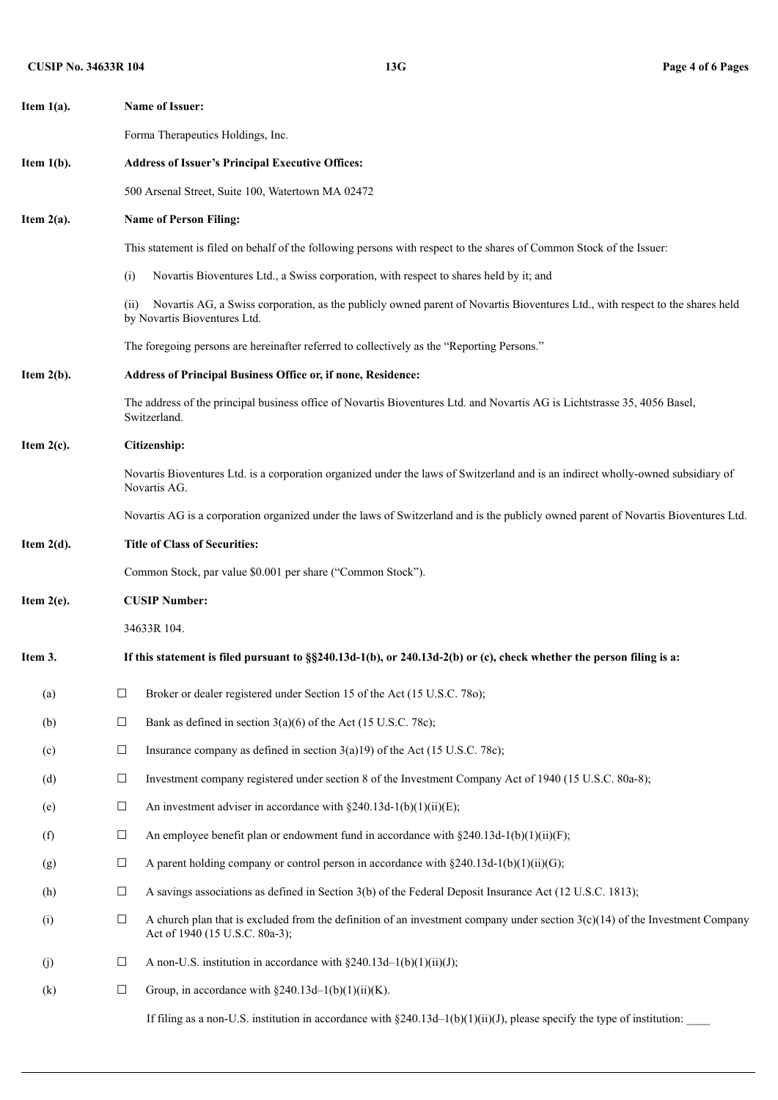| Item $1(a)$ . |                                                                                                                                           | <b>Name of Issuer:</b>                                                                                                                                           |  |  |  |  |  |  |
|---------------|-------------------------------------------------------------------------------------------------------------------------------------------|------------------------------------------------------------------------------------------------------------------------------------------------------------------|--|--|--|--|--|--|
|               |                                                                                                                                           | Forma Therapeutics Holdings, Inc.                                                                                                                                |  |  |  |  |  |  |
| Item $1(b)$ . |                                                                                                                                           | <b>Address of Issuer's Principal Executive Offices:</b>                                                                                                          |  |  |  |  |  |  |
|               |                                                                                                                                           | 500 Arsenal Street, Suite 100, Watertown MA 02472                                                                                                                |  |  |  |  |  |  |
| Item $2(a)$ . |                                                                                                                                           | <b>Name of Person Filing:</b>                                                                                                                                    |  |  |  |  |  |  |
|               |                                                                                                                                           | This statement is filed on behalf of the following persons with respect to the shares of Common Stock of the Issuer:                                             |  |  |  |  |  |  |
|               | (i)                                                                                                                                       | Novartis Bioventures Ltd., a Swiss corporation, with respect to shares held by it; and                                                                           |  |  |  |  |  |  |
|               | (11)                                                                                                                                      | Novartis AG, a Swiss corporation, as the publicly owned parent of Novartis Bioventures Ltd., with respect to the shares held<br>by Novartis Bioventures Ltd.     |  |  |  |  |  |  |
|               | The foregoing persons are hereinafter referred to collectively as the "Reporting Persons."                                                |                                                                                                                                                                  |  |  |  |  |  |  |
| Item $2(b)$ . |                                                                                                                                           | Address of Principal Business Office or, if none, Residence:                                                                                                     |  |  |  |  |  |  |
|               | The address of the principal business office of Novartis Bioventures Ltd. and Novartis AG is Lichtstrasse 35, 4056 Basel,<br>Switzerland. |                                                                                                                                                                  |  |  |  |  |  |  |
| Item $2(c)$ . | Citizenship:                                                                                                                              |                                                                                                                                                                  |  |  |  |  |  |  |
|               |                                                                                                                                           | Novartis Bioventures Ltd. is a corporation organized under the laws of Switzerland and is an indirect wholly-owned subsidiary of<br>Novartis AG.                 |  |  |  |  |  |  |
|               | Novartis AG is a corporation organized under the laws of Switzerland and is the publicly owned parent of Novartis Bioventures Ltd.        |                                                                                                                                                                  |  |  |  |  |  |  |
| Item $2(d)$ . | <b>Title of Class of Securities:</b>                                                                                                      |                                                                                                                                                                  |  |  |  |  |  |  |
|               |                                                                                                                                           | Common Stock, par value \$0.001 per share ("Common Stock").                                                                                                      |  |  |  |  |  |  |
| Item $2(e)$ . | <b>CUSIP Number:</b>                                                                                                                      |                                                                                                                                                                  |  |  |  |  |  |  |
|               |                                                                                                                                           | 34633R 104.                                                                                                                                                      |  |  |  |  |  |  |
| Item 3.       |                                                                                                                                           | If this statement is filed pursuant to $\S$ 240.13d-1(b), or 240.13d-2(b) or (c), check whether the person filing is a:                                          |  |  |  |  |  |  |
| (a)           | $\Box$                                                                                                                                    | Broker or dealer registered under Section 15 of the Act (15 U.S.C. 780);                                                                                         |  |  |  |  |  |  |
| (b)           | $\Box$                                                                                                                                    | Bank as defined in section $3(a)(6)$ of the Act (15 U.S.C. 78c);                                                                                                 |  |  |  |  |  |  |
| (c)           | $\Box$                                                                                                                                    | Insurance company as defined in section $3(a)19$ of the Act (15 U.S.C. 78c);                                                                                     |  |  |  |  |  |  |
| (d)           | $\Box$                                                                                                                                    | Investment company registered under section 8 of the Investment Company Act of 1940 (15 U.S.C. 80a-8);                                                           |  |  |  |  |  |  |
| (e)           | $\Box$                                                                                                                                    | An investment adviser in accordance with $\S 240.13d-1(b)(1)(ii)(E)$ ;                                                                                           |  |  |  |  |  |  |
| (f)           | $\Box$                                                                                                                                    | An employee benefit plan or endowment fund in accordance with $\S 240.13d-1(b)(1)(ii)(F)$ ;                                                                      |  |  |  |  |  |  |
| (g)           | $\Box$                                                                                                                                    | A parent holding company or control person in accordance with $\S 240.13d-1(b)(1)(ii)(G)$ ;                                                                      |  |  |  |  |  |  |
| (h)           | $\Box$                                                                                                                                    | A savings associations as defined in Section 3(b) of the Federal Deposit Insurance Act (12 U.S.C. 1813);                                                         |  |  |  |  |  |  |
| (i)           | $\Box$                                                                                                                                    | A church plan that is excluded from the definition of an investment company under section $3(c)(14)$ of the Investment Company<br>Act of 1940 (15 U.S.C. 80a-3); |  |  |  |  |  |  |
| (j)           | $\Box$                                                                                                                                    | A non-U.S. institution in accordance with $\S 240.13d-1(b)(1)(ii)(J)$ ;                                                                                          |  |  |  |  |  |  |
| (k)           | $\Box$                                                                                                                                    | Group, in accordance with $\S 240.13d-1(b)(1)(ii)(K)$ .                                                                                                          |  |  |  |  |  |  |
|               |                                                                                                                                           | If filing as a non-U.S. institution in accordance with $\S 240.13d-1(b)(1)(ii)(J)$ , please specify the type of institution:                                     |  |  |  |  |  |  |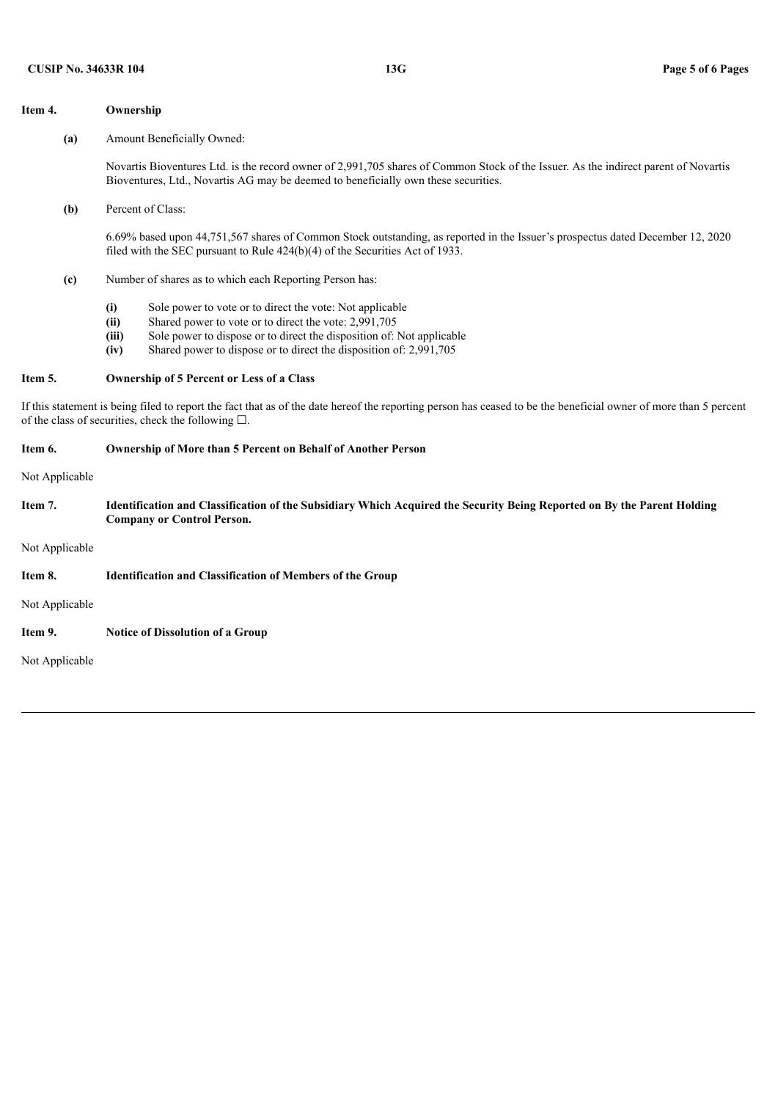#### **Item 4. Ownership**

**(a)** Amount Beneficially Owned:

Novartis Bioventures Ltd. is the record owner of 2,991,705 shares of Common Stock of the Issuer. As the indirect parent of Novartis Bioventures, Ltd., Novartis AG may be deemed to beneficially own these securities.

**(b)** Percent of Class:

6.69% based upon 44,751,567 shares of Common Stock outstanding, as reported in the Issuer's prospectus dated December 12, 2020 filed with the SEC pursuant to Rule 424(b)(4) of the Securities Act of 1933.

- **(c)** Number of shares as to which each Reporting Person has:
	- **(i)** Sole power to vote or to direct the vote: Not applicable
	- **(ii)** Shared power to vote or to direct the vote: 2,991,705
	- **(iii)** Sole power to dispose or to direct the disposition of: Not applicable
	- **(iv)** Shared power to dispose or to direct the disposition of: 2,991,705

#### **Item 5. Ownership of 5 Percent or Less of a Class**

If this statement is being filed to report the fact that as of the date hereof the reporting person has ceased to be the beneficial owner of more than 5 percent of the class of securities, check the following  $\square$ .

#### **Item 6. Ownership of More than 5 Percent on Behalf of Another Person**

Not Applicable

Item 7. Identification and Classification of the Subsidiary Which Acquired the Security Being Reported on By the Parent Holding **Company or Control Person.**

Not Applicable

#### **Item 8. Identification and Classification of Members of the Group**

Not Applicable

**Item 9. Notice of Dissolution of a Group**

Not Applicable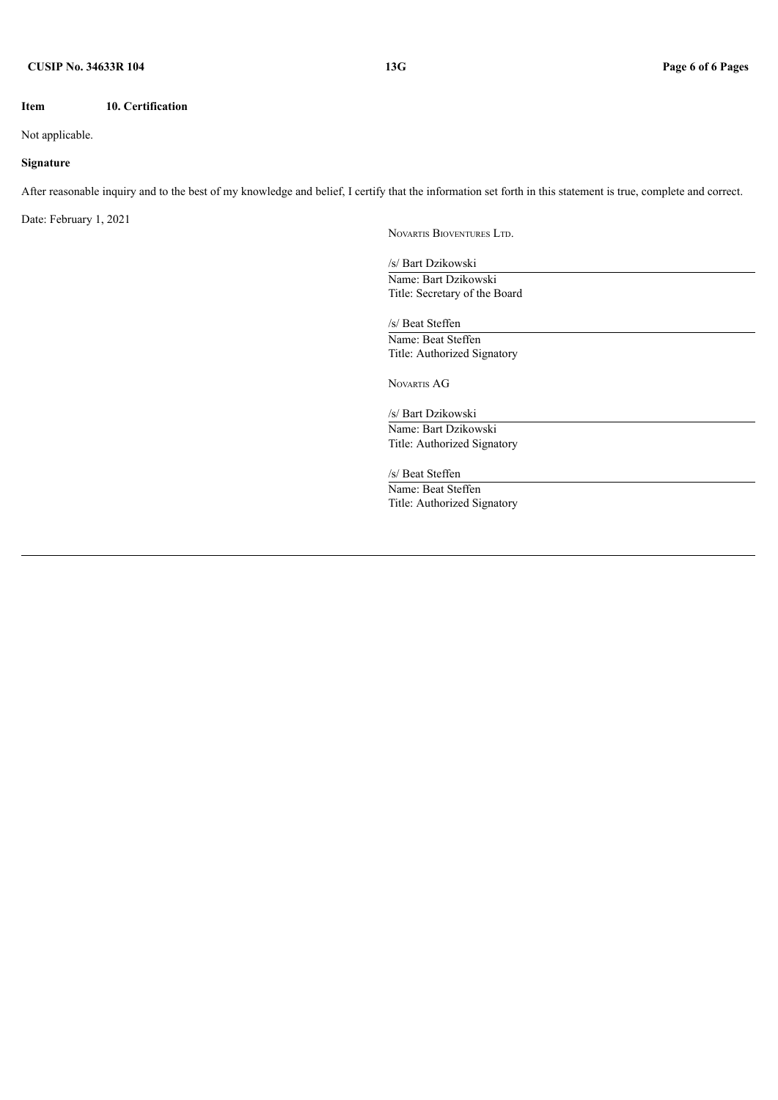#### **Item 10. Certification**

### Not applicable.

### **Signature**

After reasonable inquiry and to the best of my knowledge and belief, I certify that the information set forth in this statement is true, complete and correct.

Date: February 1, 2021

NOVARTIS BIOVENTURES LTD.

/s/ Bart Dzikowski Name: Bart Dzikowski Title: Secretary of the Board

/s/ Beat Steffen Name: Beat Steffen Title: Authorized Signatory

NOVARTIS AG

/s/ Bart Dzikowski Name: Bart Dzikowski Title: Authorized Signatory

/s/ Beat Steffen

Name: Beat Steffen Title: Authorized Signatory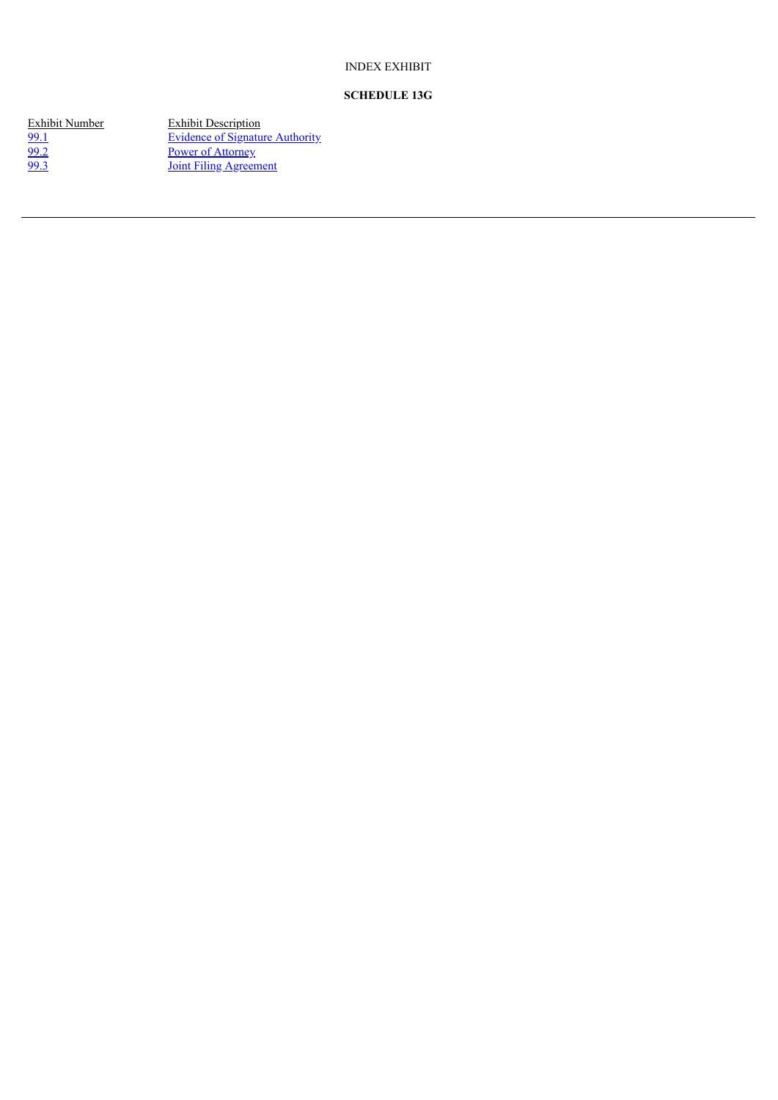## INDEX EXHIBIT

# **SCHEDULE 13G**

Exhibit Number Exhibit Description [99.1](#page-7-0) Evidence of Signature [Authority](#page-7-0) [99.2](#page-8-0) Power of [Attorney](#page-8-0) [99.3](#page-9-0) Joint Filing [Agreement](#page-9-0)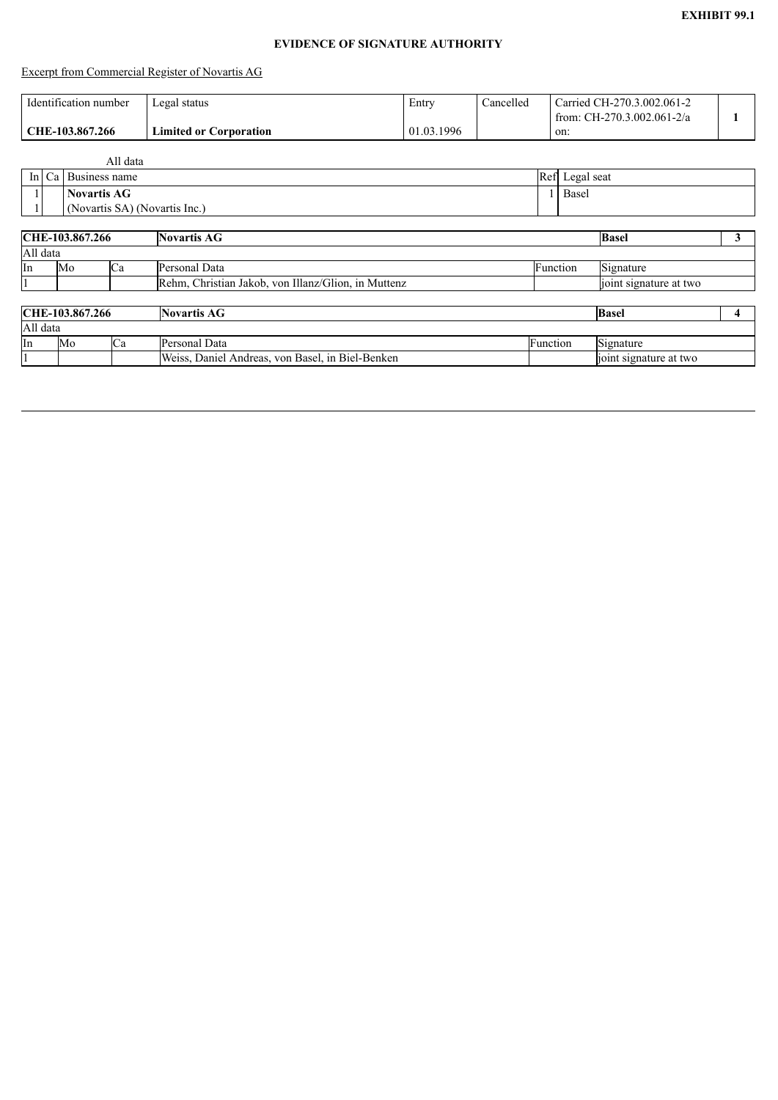# **EVIDENCE OF SIGNATURE AUTHORITY**

# <span id="page-7-0"></span>Excerpt from Commercial Register of Novartis AG

| Identification number | Legal status                  | Entry      | Cancelled | Carried CH-270.3.002.061-2<br>from: CH-270.3.002.061-2/a |  |
|-----------------------|-------------------------------|------------|-----------|----------------------------------------------------------|--|
| CHE-103.867.266       | <b>Limited or Corporation</b> | 01.03.1996 |           | on:                                                      |  |

|    |                               |                    | All data                        |                                                     |          |       |                                |   |  |  |
|----|-------------------------------|--------------------|---------------------------------|-----------------------------------------------------|----------|-------|--------------------------------|---|--|--|
|    | In $Ca$                       |                    | Business name<br>Ref Legal seat |                                                     |          |       |                                |   |  |  |
|    |                               | <b>Novartis AG</b> |                                 |                                                     |          | Basel |                                |   |  |  |
|    | (Novartis SA) (Novartis Inc.) |                    |                                 |                                                     |          |       |                                |   |  |  |
|    |                               |                    |                                 |                                                     |          |       |                                |   |  |  |
|    | CHE-103.867.266               |                    |                                 | <b>Novartis AG</b>                                  |          |       | <b>Basel</b>                   | 3 |  |  |
|    | All data                      |                    |                                 |                                                     |          |       |                                |   |  |  |
| In |                               | Mo                 | Ca                              | Personal Data                                       | Function |       | Signature                      |   |  |  |
|    |                               |                    |                                 | Rehm, Christian Jakob, von Illanz/Glion, in Muttenz |          |       | joint signature at two         |   |  |  |
|    |                               |                    |                                 |                                                     |          |       |                                |   |  |  |
|    |                               | CHE-103.867.266    |                                 | <b>Novartis AG</b>                                  |          |       | <b>Basel</b>                   | 4 |  |  |
|    | All data                      |                    |                                 |                                                     |          |       |                                |   |  |  |
| In |                               | Mo                 | Ca                              | Personal Data                                       | Function |       | $\overline{\text{S}}$ ignature |   |  |  |
|    |                               |                    |                                 | Weiss, Daniel Andreas, von Basel, in Biel-Benken    |          |       | joint signature at two         |   |  |  |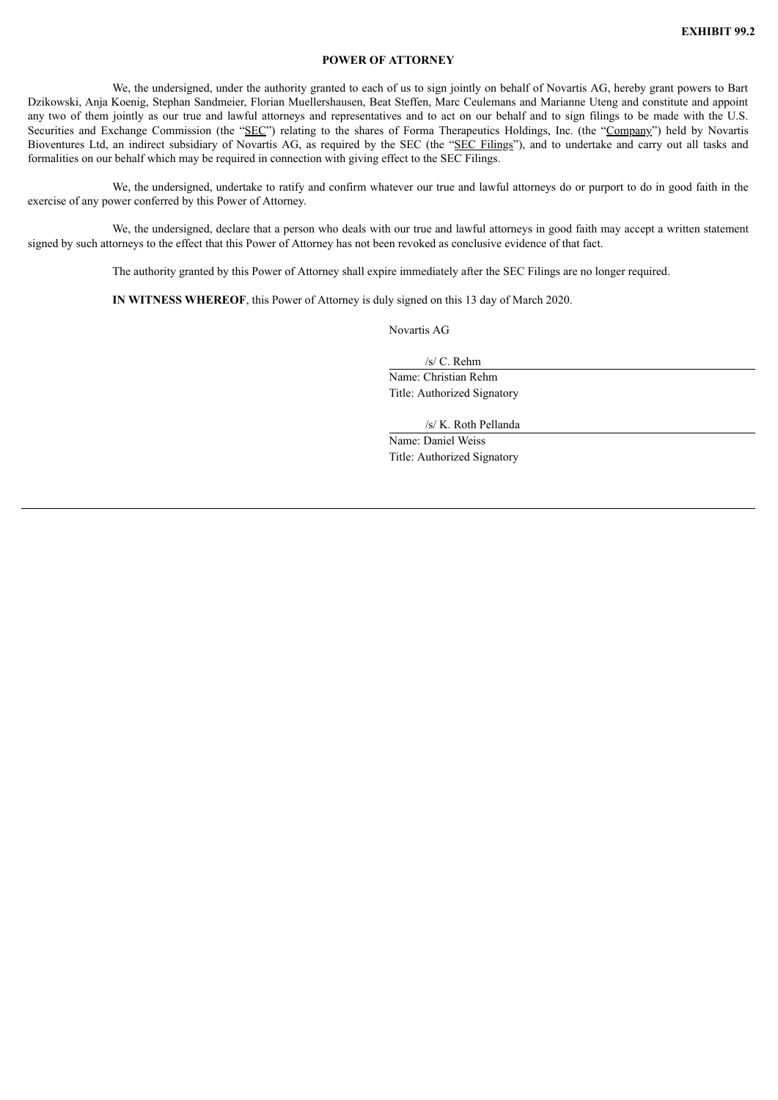#### **POWER OF ATTORNEY**

<span id="page-8-0"></span>We, the undersigned, under the authority granted to each of us to sign jointly on behalf of Novartis AG, hereby grant powers to Bart Dzikowski, Anja Koenig, Stephan Sandmeier, Florian Muellershausen, Beat Steffen, Marc Ceulemans and Marianne Uteng and constitute and appoint any two of them jointly as our true and lawful attorneys and representatives and to act on our behalf and to sign filings to be made with the U.S. Securities and Exchange Commission (the "SEC") relating to the shares of Forma Therapeutics Holdings, Inc. (the "Company") held by Novartis Bioventures Ltd, an indirect subsidiary of Novartis AG, as required by the SEC (the "SEC Filings"), and to undertake and carry out all tasks and formalities on our behalf which may be required in connection with giving effect to the SEC Filings.

We, the undersigned, undertake to ratify and confirm whatever our true and lawful attorneys do or purport to do in good faith in the exercise of any power conferred by this Power of Attorney.

We, the undersigned, declare that a person who deals with our true and lawful attorneys in good faith may accept a written statement signed by such attorneys to the effect that this Power of Attorney has not been revoked as conclusive evidence of that fact.

The authority granted by this Power of Attorney shall expire immediately after the SEC Filings are no longer required.

**IN WITNESS WHEREOF**, this Power of Attorney is duly signed on this 13 day of March 2020.

Novartis AG

/s/ C. Rehm Name: Christian Rehm Title: Authorized Signatory

/s/ K. Roth Pellanda

Name: Daniel Weiss Title: Authorized Signatory